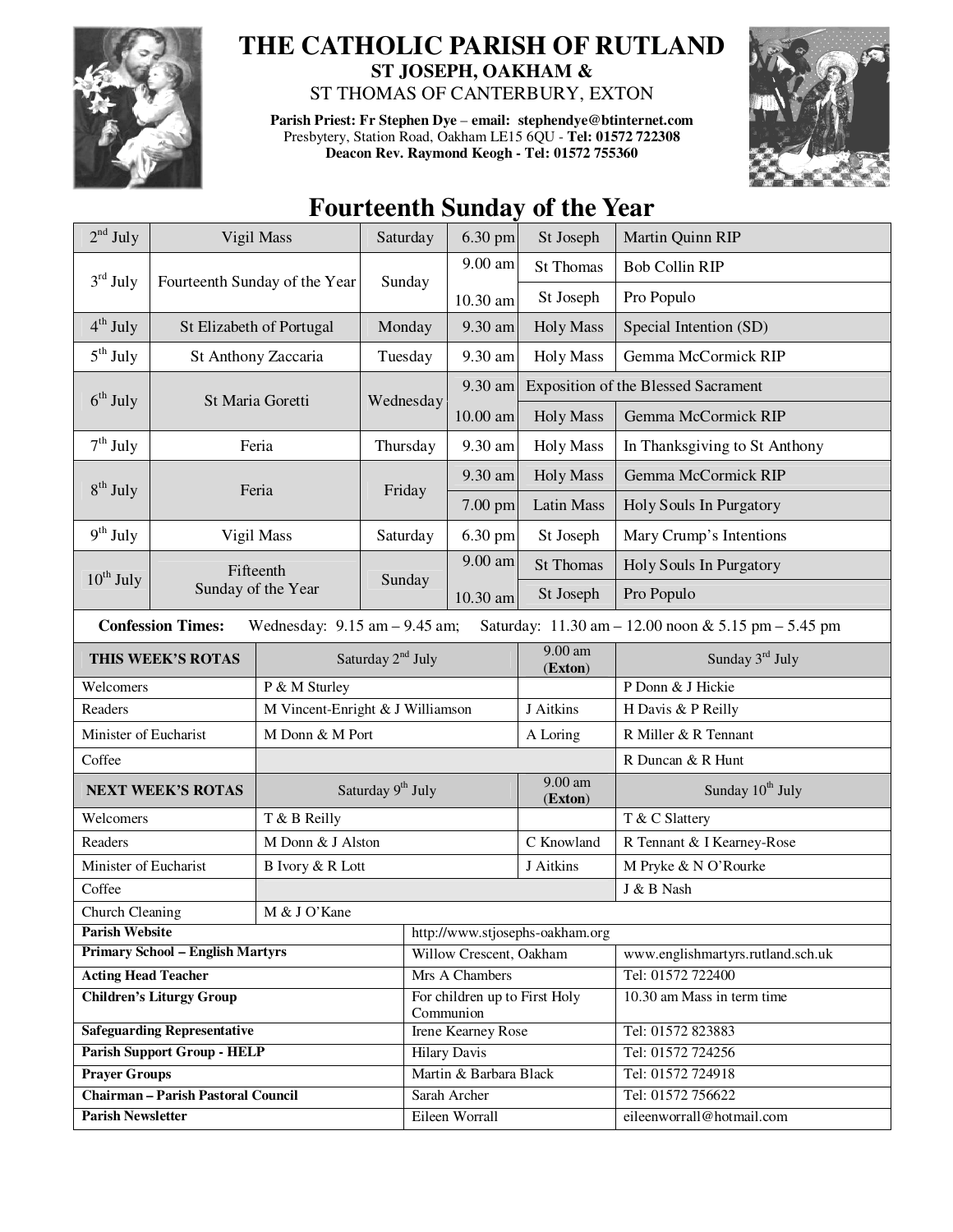

## **THE CATHOLIC PARISH OF RUTLAND ST JOSEPH, OAKHAM &**

ST THOMAS OF CANTERBURY, EXTON

**Parish Priest: Fr Stephen Dye** – **email: stephendye@btinternet.com** Presbytery, Station Road, Oakham LE15 6QU - **Tel: 01572 722308 Deacon Rev. Raymond Keogh - Tel: 01572 755360** 



## **Fourteenth Sunday of the Year**

| $2nd$ July                                  |                                                                                                                      | Vigil Mass                       | Saturday  | 6.30 pm                                    | St Joseph                       | Martin Quinn RIP                           |  |  |
|---------------------------------------------|----------------------------------------------------------------------------------------------------------------------|----------------------------------|-----------|--------------------------------------------|---------------------------------|--------------------------------------------|--|--|
| $3rd$ July<br>Fourteenth Sunday of the Year |                                                                                                                      |                                  | Sunday    | 9.00 am                                    | <b>St Thomas</b>                | <b>Bob Collin RIP</b>                      |  |  |
|                                             |                                                                                                                      |                                  |           | 10.30 am                                   | St Joseph                       | Pro Populo                                 |  |  |
| $4th$ July                                  | St Elizabeth of Portugal                                                                                             |                                  | Monday    | 9.30 am                                    | <b>Holy Mass</b>                | Special Intention (SD)                     |  |  |
| $5^{\text{th}}$ July                        | St Anthony Zaccaria                                                                                                  |                                  | Tuesday   | 9.30 am                                    | <b>Holy Mass</b>                | Gemma McCormick RIP                        |  |  |
| $6th$ July<br>St Maria Goretti              |                                                                                                                      |                                  |           | 9.30 am                                    |                                 | <b>Exposition of the Blessed Sacrament</b> |  |  |
|                                             |                                                                                                                      |                                  | Wednesday | 10.00 am                                   | <b>Holy Mass</b>                | Gemma McCormick RIP                        |  |  |
| $7th$ July                                  | Feria                                                                                                                |                                  | Thursday  | 9.30 am                                    | <b>Holy Mass</b>                | In Thanksgiving to St Anthony              |  |  |
|                                             |                                                                                                                      |                                  |           | 9.30 am                                    | <b>Holy Mass</b>                | Gemma McCormick RIP                        |  |  |
| $8th$ July<br>Feria                         |                                                                                                                      |                                  | Friday    | 7.00 pm                                    | <b>Latin Mass</b>               | Holy Souls In Purgatory                    |  |  |
| $9th$ July                                  |                                                                                                                      | Vigil Mass                       | Saturday  | 6.30 pm                                    | St Joseph                       | Mary Crump's Intentions                    |  |  |
| $10^{th}$ July                              | Fifteenth<br>Sunday of the Year                                                                                      |                                  |           | 9.00 am                                    | <b>St Thomas</b>                | Holy Souls In Purgatory                    |  |  |
|                                             |                                                                                                                      |                                  | Sunday    | 10.30 am                                   | St Joseph                       | Pro Populo                                 |  |  |
|                                             | <b>Confession Times:</b><br>Saturday: 11.30 am - 12.00 noon & 5.15 pm - 5.45 pm<br>Wednesday: $9.15$ am $- 9.45$ am; |                                  |           |                                            |                                 |                                            |  |  |
| THIS WEEK'S ROTAS                           |                                                                                                                      | Saturday 2 <sup>nd</sup> July    |           |                                            | $9.00$ am<br>(Exton)            | Sunday 3rd July                            |  |  |
| Welcomers                                   |                                                                                                                      | P & M Sturley                    |           |                                            |                                 | P Donn & J Hickie                          |  |  |
| Readers                                     |                                                                                                                      | M Vincent-Enright & J Williamson |           |                                            | J Aitkins                       | H Davis & P Reilly                         |  |  |
| Minister of Eucharist                       |                                                                                                                      | M Donn & M Port                  |           |                                            | A Loring                        | R Miller & R Tennant                       |  |  |
| Coffee                                      |                                                                                                                      |                                  |           |                                            |                                 | R Duncan & R Hunt                          |  |  |
| <b>NEXT WEEK'S ROTAS</b>                    |                                                                                                                      | Saturday 9 <sup>th</sup> July    |           |                                            | $9.00$ am<br>(Exton)            | Sunday 10 <sup>th</sup> July               |  |  |
| Welcomers                                   |                                                                                                                      | T & B Reilly                     |           |                                            |                                 | T & C Slattery                             |  |  |
| Readers                                     |                                                                                                                      | M Donn & J Alston                |           |                                            | C Knowland                      | R Tennant & I Kearney-Rose                 |  |  |
| Minister of Eucharist                       |                                                                                                                      | B Ivory & R Lott                 |           |                                            | J Aitkins                       | M Pryke & N O'Rourke                       |  |  |
| Coffee                                      |                                                                                                                      |                                  |           |                                            | J & B Nash                      |                                            |  |  |
| M & J O'Kane<br>Church Cleaning             |                                                                                                                      |                                  |           |                                            |                                 |                                            |  |  |
| <b>Parish Website</b>                       |                                                                                                                      |                                  |           |                                            | http://www.stjosephs-oakham.org |                                            |  |  |
| <b>Primary School - English Martyrs</b>     |                                                                                                                      |                                  |           | Willow Crescent, Oakham                    |                                 | www.englishmartyrs.rutland.sch.uk          |  |  |
| <b>Acting Head Teacher</b>                  |                                                                                                                      |                                  |           | Mrs A Chambers                             |                                 | Tel: 01572 722400                          |  |  |
| <b>Children's Liturgy Group</b>             |                                                                                                                      |                                  |           | For children up to First Holy<br>Communion |                                 | 10.30 am Mass in term time                 |  |  |
| <b>Safeguarding Representative</b>          |                                                                                                                      |                                  |           | Irene Kearney Rose                         |                                 | Tel: 01572 823883                          |  |  |
| <b>Parish Support Group - HELP</b>          |                                                                                                                      |                                  |           | <b>Hilary Davis</b>                        |                                 | Tel: 01572 724256                          |  |  |
| <b>Prayer Groups</b>                        |                                                                                                                      |                                  |           | Martin & Barbara Black                     |                                 | Tel: 01572 724918                          |  |  |
| <b>Chairman - Parish Pastoral Council</b>   |                                                                                                                      |                                  |           | Sarah Archer                               |                                 | Tel: 01572 756622                          |  |  |
| <b>Parish Newsletter</b>                    |                                                                                                                      |                                  |           | Eileen Worrall                             |                                 | eileenworrall@hotmail.com                  |  |  |